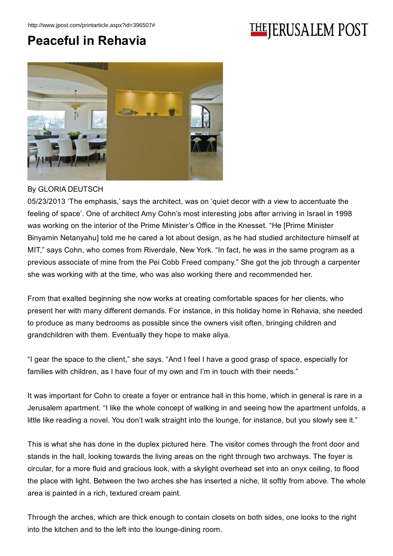## **THEJERUSALEM POST**

## Peaceful in Rehavia



## By GLORIA DEUTSCH

05/23/2013 'The emphasis,' says the architect, was on 'quiet decor with a view to accentuate the feeling of space'. One of architect Amy Cohn's most interesting jobs after arriving in Israel in 1998 was working on the interior of the Prime Minister's Office in the Knesset. "He [Prime Minister Binyamin Netanyahu] told me he cared a lot about design, as he had studied architecture himself at MIT," says Cohn, who comes from Riverdale, New York. "In fact, he was in the same program as a previous associate of mine from the Pei Cobb Freed company." She got the job through a carpenter she was working with at the time, who was also working there and recommended her.

From that exalted beginning she now works at creating comfortable spaces for her clients, who present her with many different demands. For instance, in this holiday home in Rehavia, she needed to produce as many bedrooms as possible since the owners visit often, bringing children and grandchildren with them. Eventually they hope to make aliya.

"I gear the space to the client," she says. "And I feel I have a good grasp of space, especially for families with children, as I have four of my own and I'm in touch with their needs."

It was important for Cohn to create a foyer or entrance hall in this home, which in general is rare in a Jerusalem apartment. "I like the whole concept of walking in and seeing how the apartment unfolds, a little like reading a novel. You don't walk straight into the lounge, for instance, but you slowly see it."

This is what she has done in the duplex pictured here. The visitor comes through the front door and stands in the hall, looking towards the living areas on the right through two archways. The foyer is circular, for a more fluid and gracious look, with a skylight overhead set into an onyx ceiling, to flood the place with light. Between the two arches she has inserted a niche, lit softly from above. The whole area is painted in a rich, textured cream paint.

Through the arches, which are thick enough to contain closets on both sides, one looks to the right into the kitchen and to the left into the lounge-dining room.